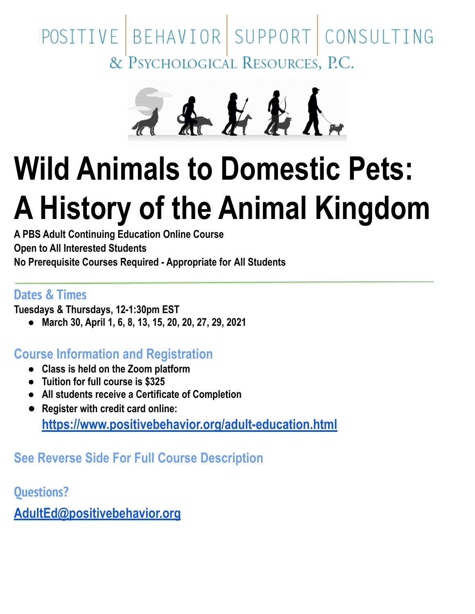# POSITIVE BEHAVIOR SUPPORT CONSULTING<br>& PSYCHOLOGICAL RESOURCES, P.C.



# **Wild Animals to Domestic Pets: A History of the Animal Kingdom**

**A PBS Adult Continuing Education Online Course Open to All Interested Students No Prerequisite Courses Required - Appropriate for All Students**

#### **Dates & Times**

**Tuesdays & Thursdays, 12-1:30pm EST**

**● March 30, April 1, 6, 8, 13, 15, 20, 20, 27, 29, 2021**

#### **Course Information and Registration**

- **● Class is held on the Zoom platform**
- **● Tuition for full course is \$325**
- **● All students receive a Certificate of Completion**
- **● Register with credit card online: <https://www.positivebehavior.org/adult-education.html>**

## **See Reverse Side For Full Course Description**

**Questions?**

**[AdultEd@positivebehavior.org](mailto:AdultEd@positivebehavior.org)**